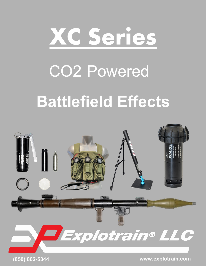# **XC Series**

# CO2 Powered

# **Battlefield Effects**

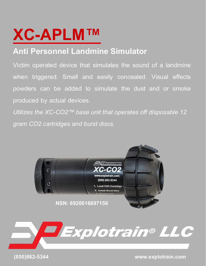# **XC-APLM™**

# **Anti Personnel Landmine Simulator**

Victim operated device that simulates the sound of a landmine when triggered. Small and easily concealed. Visual effects powders can be added to simulate the dust and or smoke produced by actual devices.

*Utilizes the XC-CO2™ base unit that operates off disposable 12 gram CO2 cartridges and burst discs.* 





 **(850)862-5344 www.explotrain.com**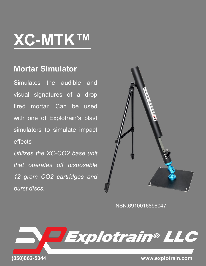# **XC-MTK™**

### **Mortar Simulator**

Simulates the audible and visual signatures of a drop fired mortar. Can be used with one of Explotrain's blast simulators to simulate impact effects

*Utilizes the XC-CO2 base unit that operates off disposable 12 gram CO2 cartridges and burst discs.* 



NSN:6910016896047

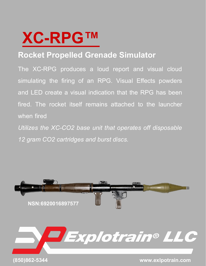

## **Rocket Propelled Grenade Simulator**

The XC-RPG produces a loud report and visual cloud simulating the firing of an RPG. Visual Effects powders and LED create a visual indication that the RPG has been fired. The rocket itself remains attached to the launcher when fired

*Utilizes the XC-CO2 base unit that operates off disposable 12 gram CO2 cartridges and burst discs.* 

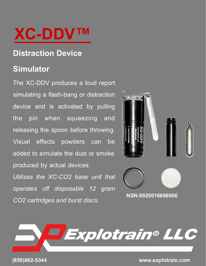# **XC-DDV™**

## **Distraction Device**

### **Simulator**

The XC-DDV produces a loud report simulating a flash-bang or distraction device and is activated by pulling the pin when squeezing and releasing the spoon before throwing. Visual effects powders can be added to simulate the dust or smoke produced by actual devices.

*Utilizes the XC-CO2 base unit that operates off disposable 12 gram CO2 cartridges and burst discs.* 





**(850)862-5344 www.explotrain.com**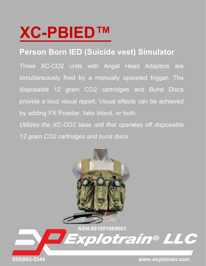# **XC-PBIED™**

### **Person Born IED (Suicide vest) Simulator**

Three XC-CO2 units with Angel Head Adaptors are simultaneously fired by a manually operated trigger. The disposable 12 gram CO2 cartridges and Burst Discs provide a loud visual report. Visual effects can be achieved by adding FX Powder, fake blood, or both.

*Utilizes the XC-CO2 base unit that operates off disposable 12 gram CO2 cartridges and burst discs.*